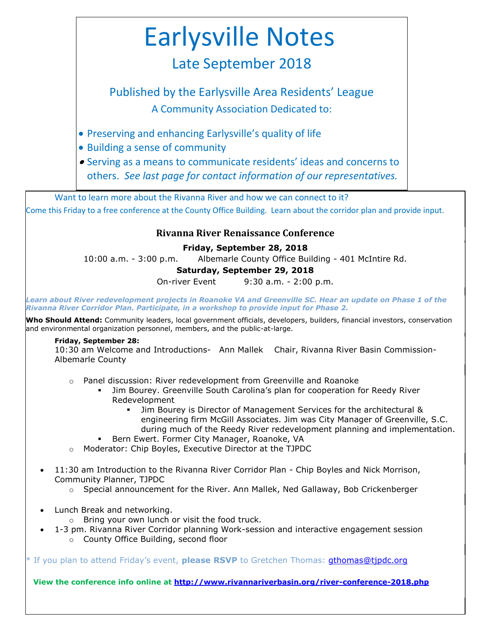# Earlysville Notes

# Late September 2018

Published by the Earlysville Area Residents' League A Community Association Dedicated to:

- Preserving and enhancing Earlysville's quality of life
- Building a sense of community
- Serving as a means to communicate residents' ideas and concerns to others. *See last page for contact information of our representatives.*

Want to learn more about the Rivanna River and how we can connect to it? Come this Friday to a free conference at the County Office Building. Learn about the corridor plan and provide input.

### **Rivanna River Renaissance Conference**

#### **Friday, September 28, 2018**

10:00 a.m. - 3:00 p.m. Albemarle County Office Building - 401 McIntire Rd.

#### **Saturday, September 29, 2018**

On-river Event 9:30 a.m. - 2:00 p.m.

*Learn about River redevelopment projects in Roanoke VA and Greenville SC. Hear an update on Phase 1 of the Rivanna River Corridor Plan. Participate, in a workshop to provide input for Phase 2.*

**Who Should Attend:** Community leaders, local government officials, developers, builders, financial investors, conservation and environmental organization personnel, members, and the public-at-large.

#### **Friday, September 28:**

10:30 am Welcome and Introductions- Ann Mallek Chair, Rivanna River Basin Commission-Albemarle County

- o Panel discussion: River redevelopment from Greenville and Roanoke
	- Jim Bourey. Greenville South Carolina's plan for cooperation for Reedy River Redevelopment
		- Jim Bourey is Director of Management Services for the architectural & engineering firm McGill Associates. Jim was City Manager of Greenville, S.C. during much of the Reedy River redevelopment planning and implementation.
	- Bern Ewert. Former City Manager, Roanoke, VA
- o Moderator: Chip Boyles, Executive Director at the TJPDC
- 11:30 am Introduction to the Rivanna River Corridor Plan Chip Boyles and Nick Morrison, Community Planner, TJPDC
	- $\circ$  Special announcement for the River. Ann Mallek, Ned Gallaway, Bob Crickenberger
- Lunch Break and networking.
	- o Bring your own lunch or visit the food truck.
- 1-3 pm. Rivanna River Corridor planning Work-session and interactive engagement session o County Office Building, second floor

\* If you plan to attend Friday's event, **please RSVP** to Gretchen Thomas: [gthomas@tjpdc.org](mailto:gthomas@tjpdc.org)

 **View the conference info online at<http://www.rivannariverbasin.org/river-conference-2018.php>**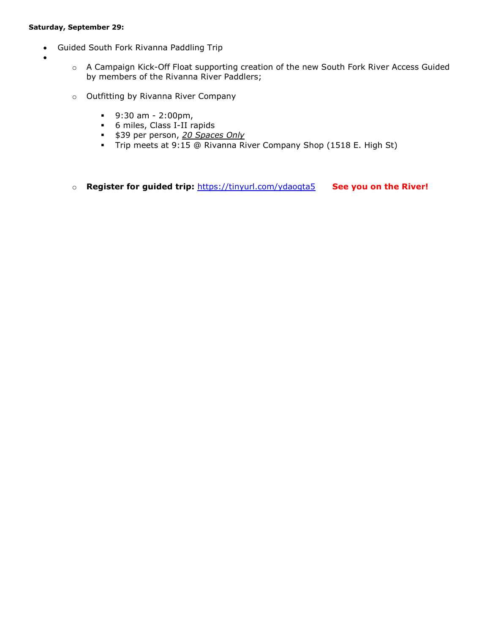#### **Saturday, September 29:**

- Guided South Fork Rivanna Paddling Trip
- $\bullet$
- o A Campaign Kick-Off Float supporting creation of the new South Fork River Access Guided by members of the Rivanna River Paddlers;
- o Outfitting by Rivanna River Company
	- $9:30$  am 2:00pm,
	- 6 miles, Class I-II rapids
	- \$39 per person, *20 Spaces Only*
	- Trip meets at 9:15 @ Rivanna River Company Shop (1518 E. High St)
- o **Register for guided trip:** <https://tinyurl.com/ydaogta5>**See you on the River!**